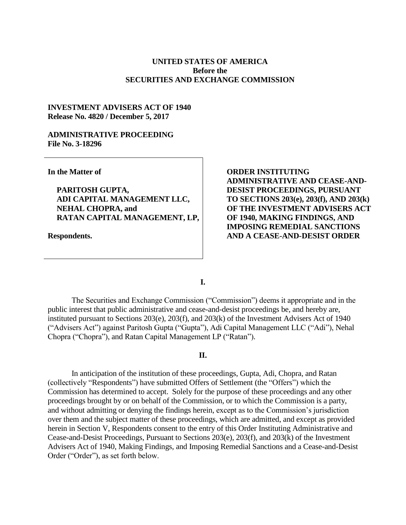# **UNITED STATES OF AMERICA Before the SECURITIES AND EXCHANGE COMMISSION**

# **INVESTMENT ADVISERS ACT OF 1940 Release No. 4820 / December 5, 2017**

# **ADMINISTRATIVE PROCEEDING File No. 3-18296**

**In the Matter of**

**PARITOSH GUPTA, ADI CAPITAL MANAGEMENT LLC, NEHAL CHOPRA, and RATAN CAPITAL MANAGEMENT, LP,** 

**Respondents.**

**ORDER INSTITUTING ADMINISTRATIVE AND CEASE-AND-DESIST PROCEEDINGS, PURSUANT TO SECTIONS 203(e), 203(f), AND 203(k) OF THE INVESTMENT ADVISERS ACT OF 1940, MAKING FINDINGS, AND IMPOSING REMEDIAL SANCTIONS AND A CEASE-AND-DESIST ORDER**

**I.**

The Securities and Exchange Commission ("Commission") deems it appropriate and in the public interest that public administrative and cease-and-desist proceedings be, and hereby are, instituted pursuant to Sections 203(e), 203(f), and 203(k) of the Investment Advisers Act of 1940 ("Advisers Act") against Paritosh Gupta ("Gupta"), Adi Capital Management LLC ("Adi"), Nehal Chopra ("Chopra"), and Ratan Capital Management LP ("Ratan").

#### **II.**

In anticipation of the institution of these proceedings, Gupta, Adi, Chopra, and Ratan (collectively "Respondents") have submitted Offers of Settlement (the "Offers") which the Commission has determined to accept. Solely for the purpose of these proceedings and any other proceedings brought by or on behalf of the Commission, or to which the Commission is a party, and without admitting or denying the findings herein, except as to the Commission's jurisdiction over them and the subject matter of these proceedings, which are admitted, and except as provided herein in Section V, Respondents consent to the entry of this Order Instituting Administrative and Cease-and-Desist Proceedings, Pursuant to Sections 203(e), 203(f), and 203(k) of the Investment Advisers Act of 1940, Making Findings, and Imposing Remedial Sanctions and a Cease-and-Desist Order ("Order"), as set forth below.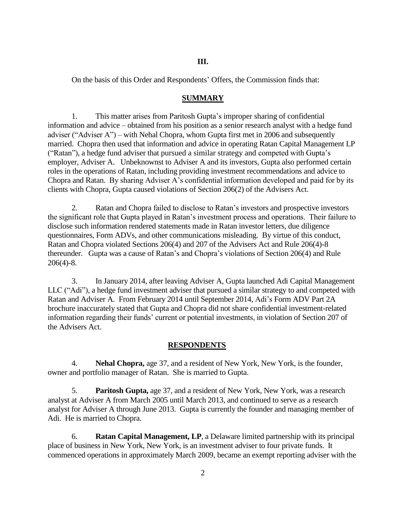On the basis of this Order and Respondents' Offers, the Commission finds that:

# **SUMMARY**

1. This matter arises from Paritosh Gupta's improper sharing of confidential information and advice – obtained from his position as a senior research analyst with a hedge fund adviser ("Adviser A") – with Nehal Chopra, whom Gupta first met in 2006 and subsequently married. Chopra then used that information and advice in operating Ratan Capital Management LP ("Ratan"), a hedge fund adviser that pursued a similar strategy and competed with Gupta's employer, Adviser A. Unbeknownst to Adviser A and its investors, Gupta also performed certain roles in the operations of Ratan, including providing investment recommendations and advice to Chopra and Ratan. By sharing Adviser A's confidential information developed and paid for by its clients with Chopra, Gupta caused violations of Section 206(2) of the Advisers Act.

2. Ratan and Chopra failed to disclose to Ratan's investors and prospective investors the significant role that Gupta played in Ratan's investment process and operations. Their failure to disclose such information rendered statements made in Ratan investor letters, due diligence questionnaires, Form ADVs, and other communications misleading. By virtue of this conduct, Ratan and Chopra violated Sections 206(4) and 207 of the Advisers Act and Rule 206(4)-8 thereunder. Gupta was a cause of Ratan's and Chopra's violations of Section 206(4) and Rule 206(4)-8.

3. In January 2014, after leaving Adviser A, Gupta launched Adi Capital Management LLC ("Adi"), a hedge fund investment adviser that pursued a similar strategy to and competed with Ratan and Adviser A. From February 2014 until September 2014, Adi's Form ADV Part 2A brochure inaccurately stated that Gupta and Chopra did not share confidential investment-related information regarding their funds' current or potential investments, in violation of Section 207 of the Advisers Act.

# **RESPONDENTS**

4. **Nehal Chopra,** age 37, and a resident of New York, New York, is the founder, owner and portfolio manager of Ratan. She is married to Gupta.

5. **Paritosh Gupta,** age 37, and a resident of New York, New York, was a research analyst at Adviser A from March 2005 until March 2013, and continued to serve as a research analyst for Adviser A through June 2013. Gupta is currently the founder and managing member of Adi. He is married to Chopra.

6. **Ratan Capital Management, LP**, a Delaware limited partnership with its principal place of business in New York, New York, is an investment adviser to four private funds. It commenced operations in approximately March 2009, became an exempt reporting adviser with the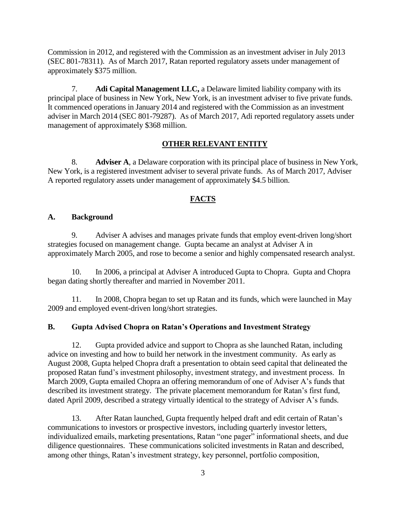Commission in 2012, and registered with the Commission as an investment adviser in July 2013 (SEC 801-78311). As of March 2017, Ratan reported regulatory assets under management of approximately \$375 million.

7. **Adi Capital Management LLC,** a Delaware limited liability company with its principal place of business in New York, New York, is an investment adviser to five private funds. It commenced operations in January 2014 and registered with the Commission as an investment adviser in March 2014 (SEC 801-79287). As of March 2017, Adi reported regulatory assets under management of approximately \$368 million.

### **OTHER RELEVANT ENTITY**

8. **Adviser A**, a Delaware corporation with its principal place of business in New York, New York, is a registered investment adviser to several private funds. As of March 2017, Adviser A reported regulatory assets under management of approximately \$4.5 billion.

# **FACTS**

### **A. Background**

9. Adviser A advises and manages private funds that employ event-driven long/short strategies focused on management change. Gupta became an analyst at Adviser A in approximately March 2005, and rose to become a senior and highly compensated research analyst.

10. In 2006, a principal at Adviser A introduced Gupta to Chopra. Gupta and Chopra began dating shortly thereafter and married in November 2011.

11. In 2008, Chopra began to set up Ratan and its funds, which were launched in May 2009 and employed event-driven long/short strategies.

### **B. Gupta Advised Chopra on Ratan's Operations and Investment Strategy**

12. Gupta provided advice and support to Chopra as she launched Ratan, including advice on investing and how to build her network in the investment community. As early as August 2008, Gupta helped Chopra draft a presentation to obtain seed capital that delineated the proposed Ratan fund's investment philosophy, investment strategy, and investment process. In March 2009, Gupta emailed Chopra an offering memorandum of one of Adviser A's funds that described its investment strategy. The private placement memorandum for Ratan's first fund, dated April 2009, described a strategy virtually identical to the strategy of Adviser A's funds.

13. After Ratan launched, Gupta frequently helped draft and edit certain of Ratan's communications to investors or prospective investors, including quarterly investor letters, individualized emails, marketing presentations, Ratan "one pager" informational sheets, and due diligence questionnaires. These communications solicited investments in Ratan and described, among other things, Ratan's investment strategy, key personnel, portfolio composition,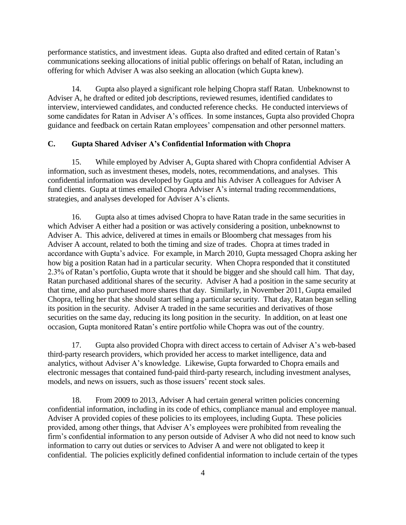performance statistics, and investment ideas. Gupta also drafted and edited certain of Ratan's communications seeking allocations of initial public offerings on behalf of Ratan, including an offering for which Adviser A was also seeking an allocation (which Gupta knew).

14. Gupta also played a significant role helping Chopra staff Ratan. Unbeknownst to Adviser A, he drafted or edited job descriptions, reviewed resumes, identified candidates to interview, interviewed candidates, and conducted reference checks. He conducted interviews of some candidates for Ratan in Adviser A's offices. In some instances, Gupta also provided Chopra guidance and feedback on certain Ratan employees' compensation and other personnel matters.

# **C. Gupta Shared Adviser A's Confidential Information with Chopra**

15. While employed by Adviser A, Gupta shared with Chopra confidential Adviser A information, such as investment theses, models, notes, recommendations, and analyses. This confidential information was developed by Gupta and his Adviser A colleagues for Adviser A fund clients. Gupta at times emailed Chopra Adviser A's internal trading recommendations, strategies, and analyses developed for Adviser A's clients.

16. Gupta also at times advised Chopra to have Ratan trade in the same securities in which Adviser A either had a position or was actively considering a position, unbeknownst to Adviser A. This advice, delivered at times in emails or Bloomberg chat messages from his Adviser A account, related to both the timing and size of trades. Chopra at times traded in accordance with Gupta's advice. For example, in March 2010, Gupta messaged Chopra asking her how big a position Ratan had in a particular security. When Chopra responded that it constituted 2.3% of Ratan's portfolio, Gupta wrote that it should be bigger and she should call him. That day, Ratan purchased additional shares of the security. Adviser A had a position in the same security at that time, and also purchased more shares that day. Similarly, in November 2011, Gupta emailed Chopra, telling her that she should start selling a particular security. That day, Ratan began selling its position in the security. Adviser A traded in the same securities and derivatives of those securities on the same day, reducing its long position in the security. In addition, on at least one occasion, Gupta monitored Ratan's entire portfolio while Chopra was out of the country.

17. Gupta also provided Chopra with direct access to certain of Adviser A's web-based third-party research providers, which provided her access to market intelligence, data and analytics, without Adviser A's knowledge. Likewise, Gupta forwarded to Chopra emails and electronic messages that contained fund-paid third-party research, including investment analyses, models, and news on issuers, such as those issuers' recent stock sales.

18. From 2009 to 2013, Adviser A had certain general written policies concerning confidential information, including in its code of ethics, compliance manual and employee manual. Adviser A provided copies of these policies to its employees, including Gupta. These policies provided, among other things, that Adviser A's employees were prohibited from revealing the firm's confidential information to any person outside of Adviser A who did not need to know such information to carry out duties or services to Adviser A and were not obligated to keep it confidential. The policies explicitly defined confidential information to include certain of the types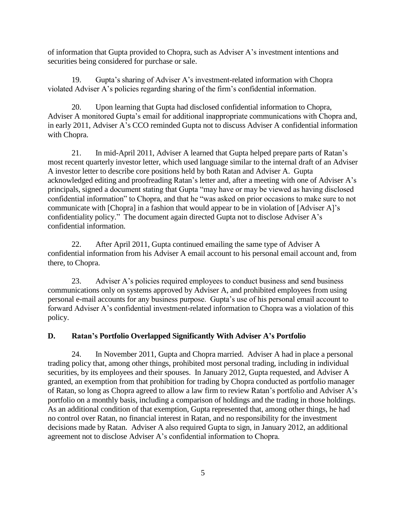of information that Gupta provided to Chopra, such as Adviser A's investment intentions and securities being considered for purchase or sale.

19. Gupta's sharing of Adviser A's investment-related information with Chopra violated Adviser A's policies regarding sharing of the firm's confidential information.

20. Upon learning that Gupta had disclosed confidential information to Chopra, Adviser A monitored Gupta's email for additional inappropriate communications with Chopra and, in early 2011, Adviser A's CCO reminded Gupta not to discuss Adviser A confidential information with Chopra.

21. In mid-April 2011, Adviser A learned that Gupta helped prepare parts of Ratan's most recent quarterly investor letter, which used language similar to the internal draft of an Adviser A investor letter to describe core positions held by both Ratan and Adviser A. Gupta acknowledged editing and proofreading Ratan's letter and, after a meeting with one of Adviser A's principals, signed a document stating that Gupta "may have or may be viewed as having disclosed confidential information" to Chopra, and that he "was asked on prior occasions to make sure to not communicate with [Chopra] in a fashion that would appear to be in violation of [Adviser A]'s confidentiality policy." The document again directed Gupta not to disclose Adviser A's confidential information.

22. After April 2011, Gupta continued emailing the same type of Adviser A confidential information from his Adviser A email account to his personal email account and, from there, to Chopra.

23. Adviser A's policies required employees to conduct business and send business communications only on systems approved by Adviser A, and prohibited employees from using personal e-mail accounts for any business purpose. Gupta's use of his personal email account to forward Adviser A's confidential investment-related information to Chopra was a violation of this policy.

# **D. Ratan's Portfolio Overlapped Significantly With Adviser A's Portfolio**

24. In November 2011, Gupta and Chopra married. Adviser A had in place a personal trading policy that, among other things, prohibited most personal trading, including in individual securities, by its employees and their spouses. In January 2012, Gupta requested, and Adviser A granted, an exemption from that prohibition for trading by Chopra conducted as portfolio manager of Ratan, so long as Chopra agreed to allow a law firm to review Ratan's portfolio and Adviser A's portfolio on a monthly basis, including a comparison of holdings and the trading in those holdings. As an additional condition of that exemption, Gupta represented that, among other things, he had no control over Ratan, no financial interest in Ratan, and no responsibility for the investment decisions made by Ratan. Adviser A also required Gupta to sign, in January 2012, an additional agreement not to disclose Adviser A's confidential information to Chopra.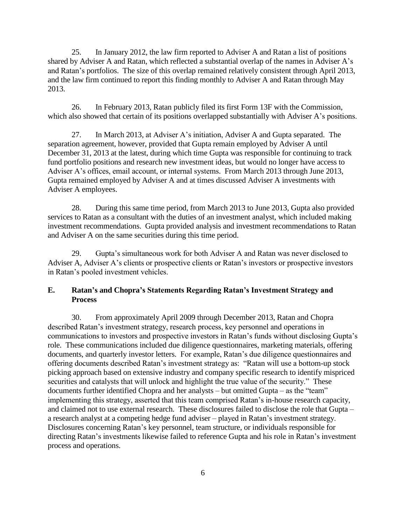25. In January 2012, the law firm reported to Adviser A and Ratan a list of positions shared by Adviser A and Ratan, which reflected a substantial overlap of the names in Adviser A's and Ratan's portfolios. The size of this overlap remained relatively consistent through April 2013, and the law firm continued to report this finding monthly to Adviser A and Ratan through May 2013.

26. In February 2013, Ratan publicly filed its first Form 13F with the Commission, which also showed that certain of its positions overlapped substantially with Adviser A's positions.

27. In March 2013, at Adviser A's initiation, Adviser A and Gupta separated. The separation agreement, however, provided that Gupta remain employed by Adviser A until December 31, 2013 at the latest, during which time Gupta was responsible for continuing to track fund portfolio positions and research new investment ideas, but would no longer have access to Adviser A's offices, email account, or internal systems. From March 2013 through June 2013, Gupta remained employed by Adviser A and at times discussed Adviser A investments with Adviser A employees.

28. During this same time period, from March 2013 to June 2013, Gupta also provided services to Ratan as a consultant with the duties of an investment analyst, which included making investment recommendations. Gupta provided analysis and investment recommendations to Ratan and Adviser A on the same securities during this time period.

29. Gupta's simultaneous work for both Adviser A and Ratan was never disclosed to Adviser A, Adviser A's clients or prospective clients or Ratan's investors or prospective investors in Ratan's pooled investment vehicles.

# **E. Ratan's and Chopra's Statements Regarding Ratan's Investment Strategy and Process**

30. From approximately April 2009 through December 2013, Ratan and Chopra described Ratan's investment strategy, research process, key personnel and operations in communications to investors and prospective investors in Ratan's funds without disclosing Gupta's role. These communications included due diligence questionnaires, marketing materials, offering documents, and quarterly investor letters. For example, Ratan's due diligence questionnaires and offering documents described Ratan's investment strategy as: "Ratan will use a bottom-up stock picking approach based on extensive industry and company specific research to identify mispriced securities and catalysts that will unlock and highlight the true value of the security." These documents further identified Chopra and her analysts – but omitted Gupta – as the "team" implementing this strategy, asserted that this team comprised Ratan's in-house research capacity, and claimed not to use external research. These disclosures failed to disclose the role that Gupta – a research analyst at a competing hedge fund adviser – played in Ratan's investment strategy. Disclosures concerning Ratan's key personnel, team structure, or individuals responsible for directing Ratan's investments likewise failed to reference Gupta and his role in Ratan's investment process and operations.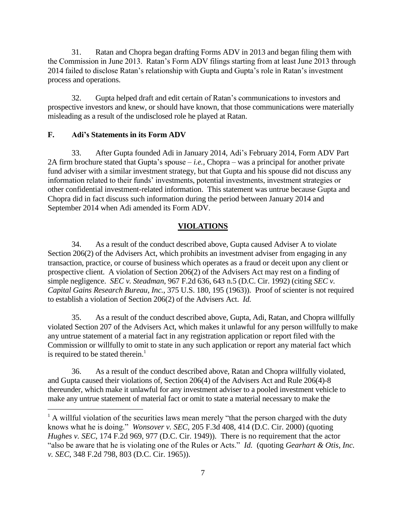31. Ratan and Chopra began drafting Forms ADV in 2013 and began filing them with the Commission in June 2013. Ratan's Form ADV filings starting from at least June 2013 through 2014 failed to disclose Ratan's relationship with Gupta and Gupta's role in Ratan's investment process and operations.

32. Gupta helped draft and edit certain of Ratan's communications to investors and prospective investors and knew, or should have known, that those communications were materially misleading as a result of the undisclosed role he played at Ratan.

# **F. Adi's Statements in its Form ADV**

 $\overline{a}$ 

33. After Gupta founded Adi in January 2014, Adi's February 2014, Form ADV Part 2A firm brochure stated that Gupta's spouse – *i.e.*, Chopra – was a principal for another private fund adviser with a similar investment strategy, but that Gupta and his spouse did not discuss any information related to their funds' investments, potential investments, investment strategies or other confidential investment-related information. This statement was untrue because Gupta and Chopra did in fact discuss such information during the period between January 2014 and September 2014 when Adi amended its Form ADV.

### **VIOLATIONS**

34. As a result of the conduct described above, Gupta caused Adviser A to violate Section 206(2) of the Advisers Act, which prohibits an investment adviser from engaging in any transaction, practice, or course of business which operates as a fraud or deceit upon any client or prospective client. A violation of Section 206(2) of the Advisers Act may rest on a finding of simple negligence. *SEC v. Steadman*, 967 F.2d 636, 643 n.5 (D.C. Cir. 1992) (citing *SEC v. Capital Gains Research Bureau, Inc.*, 375 U.S. 180, 195 (1963)). Proof of scienter is not required to establish a violation of Section 206(2) of the Advisers Act. *Id.*

35. As a result of the conduct described above, Gupta, Adi, Ratan, and Chopra willfully violated Section 207 of the Advisers Act, which makes it unlawful for any person willfully to make any untrue statement of a material fact in any registration application or report filed with the Commission or willfully to omit to state in any such application or report any material fact which is required to be stated therein. $<sup>1</sup>$ </sup>

36. As a result of the conduct described above, Ratan and Chopra willfully violated, and Gupta caused their violations of, Section 206(4) of the Advisers Act and Rule 206(4)-8 thereunder, which make it unlawful for any investment adviser to a pooled investment vehicle to make any untrue statement of material fact or omit to state a material necessary to make the

 $<sup>1</sup>$  A willful violation of the securities laws mean merely "that the person charged with the duty</sup> knows what he is doing." *Wonsover v. SEC*, 205 F.3d 408, 414 (D.C. Cir. 2000) (quoting *Hughes v. SEC*, 174 F.2d 969, 977 (D.C. Cir. 1949)). There is no requirement that the actor "also be aware that he is violating one of the Rules or Acts." *Id.* (quoting *Gearhart & Otis, Inc. v. SEC*, 348 F.2d 798, 803 (D.C. Cir. 1965)).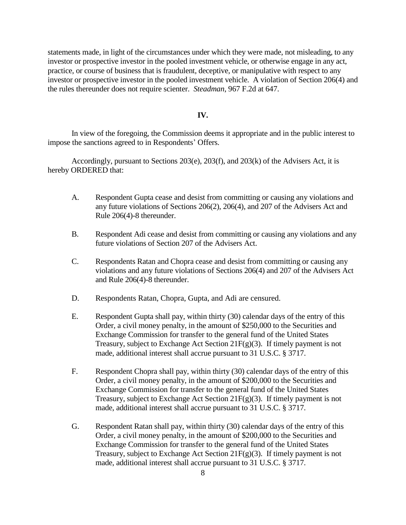statements made, in light of the circumstances under which they were made, not misleading, to any investor or prospective investor in the pooled investment vehicle, or otherwise engage in any act, practice, or course of business that is fraudulent, deceptive, or manipulative with respect to any investor or prospective investor in the pooled investment vehicle. A violation of Section 206(4) and the rules thereunder does not require scienter. *Steadman*, 967 F.2d at 647.

### **IV.**

In view of the foregoing, the Commission deems it appropriate and in the public interest to impose the sanctions agreed to in Respondents' Offers.

Accordingly, pursuant to Sections 203(e), 203(f), and 203(k) of the Advisers Act, it is hereby ORDERED that:

- A. Respondent Gupta cease and desist from committing or causing any violations and any future violations of Sections 206(2), 206(4), and 207 of the Advisers Act and Rule 206(4)-8 thereunder.
- B. Respondent Adi cease and desist from committing or causing any violations and any future violations of Section 207 of the Advisers Act.
- C. Respondents Ratan and Chopra cease and desist from committing or causing any violations and any future violations of Sections 206(4) and 207 of the Advisers Act and Rule 206(4)-8 thereunder.
- D. Respondents Ratan, Chopra, Gupta, and Adi are censured.
- E. Respondent Gupta shall pay, within thirty (30) calendar days of the entry of this Order, a civil money penalty, in the amount of \$250,000 to the Securities and Exchange Commission for transfer to the general fund of the United States Treasury, subject to Exchange Act Section 21 $F(g)(3)$ . If timely payment is not made, additional interest shall accrue pursuant to 31 U.S.C. § 3717.
- F. Respondent Chopra shall pay, within thirty (30) calendar days of the entry of this Order, a civil money penalty, in the amount of \$200,000 to the Securities and Exchange Commission for transfer to the general fund of the United States Treasury, subject to Exchange Act Section 21 $F(g)(3)$ . If timely payment is not made, additional interest shall accrue pursuant to 31 U.S.C. § 3717.
- G. Respondent Ratan shall pay, within thirty (30) calendar days of the entry of this Order, a civil money penalty, in the amount of \$200,000 to the Securities and Exchange Commission for transfer to the general fund of the United States Treasury, subject to Exchange Act Section 21F(g)(3). If timely payment is not made, additional interest shall accrue pursuant to 31 U.S.C. § 3717.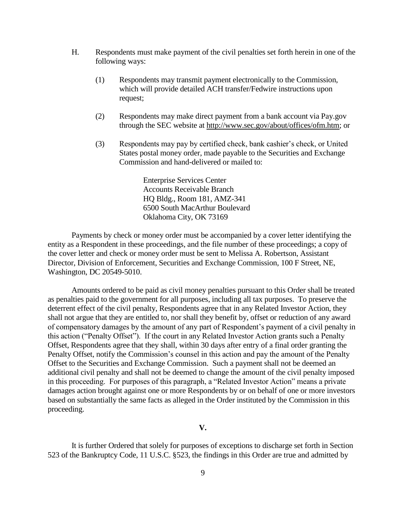- H. Respondents must make payment of the civil penalties set forth herein in one of the following ways:
	- (1) Respondents may transmit payment electronically to the Commission, which will provide detailed ACH transfer/Fedwire instructions upon request;
	- (2) Respondents may make direct payment from a bank account via Pay.gov through the SEC website at [http://www.sec.gov/about/offices/ofm.htm;](http://www.sec.gov/about/offices/ofm.htm) or
	- (3) Respondents may pay by certified check, bank cashier's check, or United States postal money order, made payable to the Securities and Exchange Commission and hand-delivered or mailed to:

Enterprise Services Center Accounts Receivable Branch HQ Bldg., Room 181, AMZ-341 6500 South MacArthur Boulevard Oklahoma City, OK 73169

Payments by check or money order must be accompanied by a cover letter identifying the entity as a Respondent in these proceedings, and the file number of these proceedings; a copy of the cover letter and check or money order must be sent to Melissa A. Robertson, Assistant Director, Division of Enforcement, Securities and Exchange Commission, 100 F Street, NE, Washington, DC 20549-5010.

Amounts ordered to be paid as civil money penalties pursuant to this Order shall be treated as penalties paid to the government for all purposes, including all tax purposes. To preserve the deterrent effect of the civil penalty, Respondents agree that in any Related Investor Action, they shall not argue that they are entitled to, nor shall they benefit by, offset or reduction of any award of compensatory damages by the amount of any part of Respondent's payment of a civil penalty in this action ("Penalty Offset"). If the court in any Related Investor Action grants such a Penalty Offset, Respondents agree that they shall, within 30 days after entry of a final order granting the Penalty Offset, notify the Commission's counsel in this action and pay the amount of the Penalty Offset to the Securities and Exchange Commission. Such a payment shall not be deemed an additional civil penalty and shall not be deemed to change the amount of the civil penalty imposed in this proceeding. For purposes of this paragraph, a "Related Investor Action" means a private damages action brought against one or more Respondents by or on behalf of one or more investors based on substantially the same facts as alleged in the Order instituted by the Commission in this proceeding.

**V.**

It is further Ordered that solely for purposes of exceptions to discharge set forth in Section 523 of the Bankruptcy Code, 11 U.S.C. §523, the findings in this Order are true and admitted by